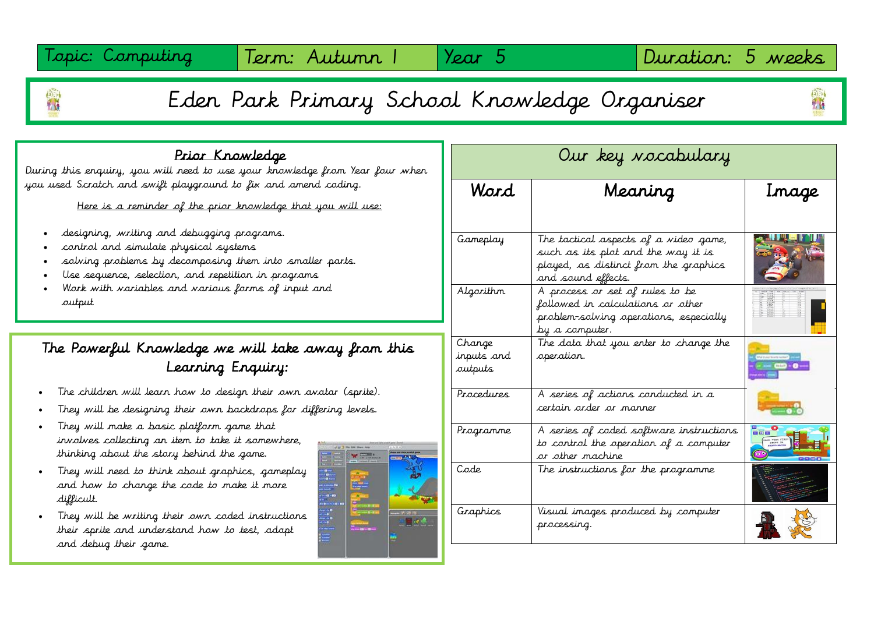Topic: Computing | Term: Autumn | | Year 5 | | Duration: 5 weeks

# Eden Park Primary School Knowledge Organiser

## Prior Knowledge

During this enquiry, you will need to use your knowledge from Year four when you used Scratch and swift playground to fix and amend coding.

Here is a reminder of the prior knowledge that you will use:

- designing, writing and debugging programs.
- control and simulate physical systems

Τ

- solving problems by decomposing them into smaller parts.
- Use sequence, selection, and repetition in programs
- Work with variables and various forms of input and output

# The Powerful Knowledge we will take away from this Learning Enquiry:

i.

- The children will learn how to design their own avatar (sprite).
- They will be designing their own backdrops for differing levels.
- They will make a basic platform game that involves collecting an item to take it somewhere, thinking about the story behind the game.
- They will need to think about graphics, gameplay and how to change the code to make it more difficult.
- They will be writing their own coded instructions their sprite and understand how to test, adapt and debug their game.



| Our key vocabulary              |                                                                                                                                            |                               |
|---------------------------------|--------------------------------------------------------------------------------------------------------------------------------------------|-------------------------------|
| Ward                            | Meaning                                                                                                                                    | Inage                         |
| Gameplay                        | The tactical aspects of a video game,<br>such as its plot and the way it is<br>played, as distinct from the graphics<br>and sound effects. |                               |
| Algorithm                       | A process or set of rules to be<br>followed in calculations or other<br>problem-solving operations, especially<br>by a computer.           |                               |
| Change<br>inputs and<br>sutputs | The data that you enter to change the<br>operation.                                                                                        | <b>BUILDING</b><br>- 00-0-    |
| Procedures                      | A series of actions conducted in a<br>certain order or manner                                                                              |                               |
| Programme                       | A series of coded software instructions<br>to control the operation of a computer<br>or other machine                                      | <b>Des</b><br>MAKE YOUR FIRST |
| Code                            | The instructions for the programme                                                                                                         |                               |
| Graphics                        | Visual images produced by computer<br>processing.                                                                                          |                               |